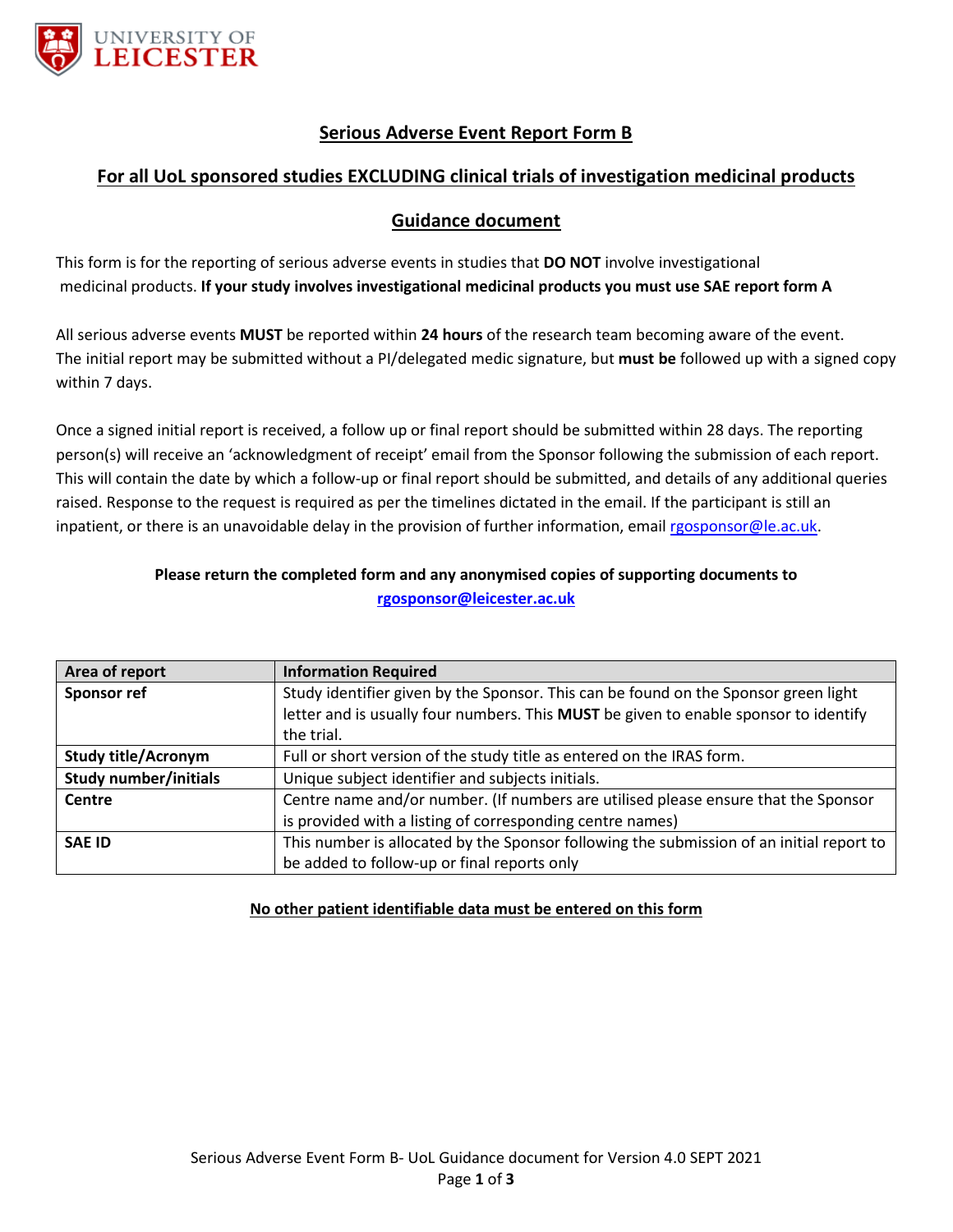

# **Serious Adverse Event Report Form B**

### **For all UoL sponsored studies EXCLUDING clinical trials of investigation medicinal products**

#### **Guidance document**

This form is for the reporting of serious adverse events in studies that **DO NOT** involve investigational medicinal products. **If your study involves investigational medicinal products you must use SAE report form A**

All serious adverse events **MUST** be reported within **24 hours** of the research team becoming aware of the event. The initial report may be submitted without a PI/delegated medic signature, but **must be** followed up with a signed copy within 7 days.

Once a signed initial report is received, a follow up or final report should be submitted within 28 days. The reporting person(s) will receive an 'acknowledgment of receipt' email from the Sponsor following the submission of each report. This will contain the date by which a follow-up or final report should be submitted, and details of any additional queries raised. Response to the request is required as per the timelines dictated in the email. If the participant is still an inpatient, or there is an unavoidable delay in the provision of further information, emai[l rgosponsor@le.ac.uk.](mailto:rgosponsor@le.ac.uk)

#### **Please return the completed form and any anonymised copies of supporting documents to [rgosponsor@leicester.ac.uk](mailto:rgosponsor@leicester.ac.uk)**

| Area of report             | <b>Information Required</b>                                                              |
|----------------------------|------------------------------------------------------------------------------------------|
| <b>Sponsor ref</b>         | Study identifier given by the Sponsor. This can be found on the Sponsor green light      |
|                            | letter and is usually four numbers. This MUST be given to enable sponsor to identify     |
|                            | the trial.                                                                               |
| <b>Study title/Acronym</b> | Full or short version of the study title as entered on the IRAS form.                    |
| Study number/initials      | Unique subject identifier and subjects initials.                                         |
| Centre                     | Centre name and/or number. (If numbers are utilised please ensure that the Sponsor       |
|                            | is provided with a listing of corresponding centre names)                                |
| <b>SAE ID</b>              | This number is allocated by the Sponsor following the submission of an initial report to |
|                            | be added to follow-up or final reports only                                              |

#### **No other patient identifiable data must be entered on this form**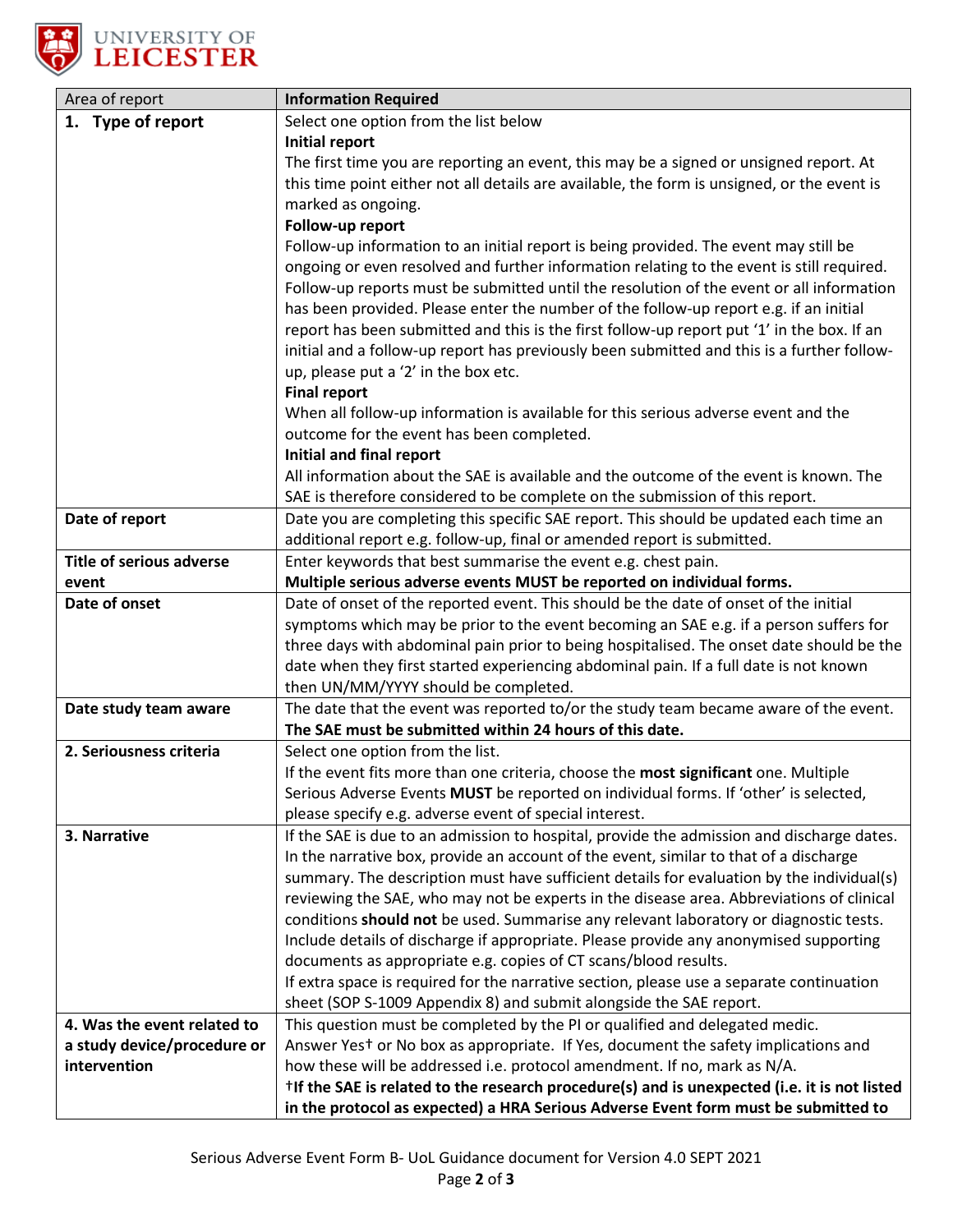

| Area of report                              | <b>Information Required</b>                                                                                                                                      |
|---------------------------------------------|------------------------------------------------------------------------------------------------------------------------------------------------------------------|
| 1. Type of report                           | Select one option from the list below                                                                                                                            |
|                                             | <b>Initial report</b>                                                                                                                                            |
|                                             | The first time you are reporting an event, this may be a signed or unsigned report. At                                                                           |
|                                             | this time point either not all details are available, the form is unsigned, or the event is                                                                      |
|                                             | marked as ongoing.                                                                                                                                               |
|                                             | Follow-up report                                                                                                                                                 |
|                                             | Follow-up information to an initial report is being provided. The event may still be                                                                             |
|                                             | ongoing or even resolved and further information relating to the event is still required.                                                                        |
|                                             | Follow-up reports must be submitted until the resolution of the event or all information                                                                         |
|                                             | has been provided. Please enter the number of the follow-up report e.g. if an initial                                                                            |
|                                             | report has been submitted and this is the first follow-up report put '1' in the box. If an                                                                       |
|                                             | initial and a follow-up report has previously been submitted and this is a further follow-                                                                       |
|                                             | up, please put a '2' in the box etc.                                                                                                                             |
|                                             | <b>Final report</b>                                                                                                                                              |
|                                             | When all follow-up information is available for this serious adverse event and the                                                                               |
|                                             | outcome for the event has been completed.                                                                                                                        |
|                                             | Initial and final report                                                                                                                                         |
|                                             | All information about the SAE is available and the outcome of the event is known. The                                                                            |
|                                             | SAE is therefore considered to be complete on the submission of this report.                                                                                     |
| Date of report                              | Date you are completing this specific SAE report. This should be updated each time an<br>additional report e.g. follow-up, final or amended report is submitted. |
| <b>Title of serious adverse</b>             | Enter keywords that best summarise the event e.g. chest pain.                                                                                                    |
| event                                       | Multiple serious adverse events MUST be reported on individual forms.                                                                                            |
| Date of onset                               | Date of onset of the reported event. This should be the date of onset of the initial                                                                             |
|                                             | symptoms which may be prior to the event becoming an SAE e.g. if a person suffers for                                                                            |
|                                             | three days with abdominal pain prior to being hospitalised. The onset date should be the                                                                         |
|                                             | date when they first started experiencing abdominal pain. If a full date is not known                                                                            |
|                                             | then UN/MM/YYYY should be completed.                                                                                                                             |
| Date study team aware                       | The date that the event was reported to/or the study team became aware of the event.                                                                             |
|                                             | The SAE must be submitted within 24 hours of this date.                                                                                                          |
| 2. Seriousness criteria                     | Select one option from the list.                                                                                                                                 |
|                                             | If the event fits more than one criteria, choose the most significant one. Multiple                                                                              |
|                                             | Serious Adverse Events <b>MUST</b> be reported on individual forms. If 'other' is selected,                                                                      |
|                                             | please specify e.g. adverse event of special interest.                                                                                                           |
| 3. Narrative                                | If the SAE is due to an admission to hospital, provide the admission and discharge dates.                                                                        |
|                                             | In the narrative box, provide an account of the event, similar to that of a discharge                                                                            |
|                                             | summary. The description must have sufficient details for evaluation by the individual(s)                                                                        |
|                                             | reviewing the SAE, who may not be experts in the disease area. Abbreviations of clinical                                                                         |
|                                             | conditions should not be used. Summarise any relevant laboratory or diagnostic tests.                                                                            |
|                                             | Include details of discharge if appropriate. Please provide any anonymised supporting                                                                            |
|                                             | documents as appropriate e.g. copies of CT scans/blood results.                                                                                                  |
|                                             | If extra space is required for the narrative section, please use a separate continuation                                                                         |
|                                             | sheet (SOP S-1009 Appendix 8) and submit alongside the SAE report.                                                                                               |
| 4. Was the event related to                 | This question must be completed by the PI or qualified and delegated medic.                                                                                      |
| a study device/procedure or<br>intervention | Answer Yest or No box as appropriate. If Yes, document the safety implications and<br>how these will be addressed i.e. protocol amendment. If no, mark as N/A.   |
|                                             | <sup>†</sup> If the SAE is related to the research procedure(s) and is unexpected (i.e. it is not listed                                                         |
|                                             | in the protocol as expected) a HRA Serious Adverse Event form must be submitted to                                                                               |
|                                             |                                                                                                                                                                  |